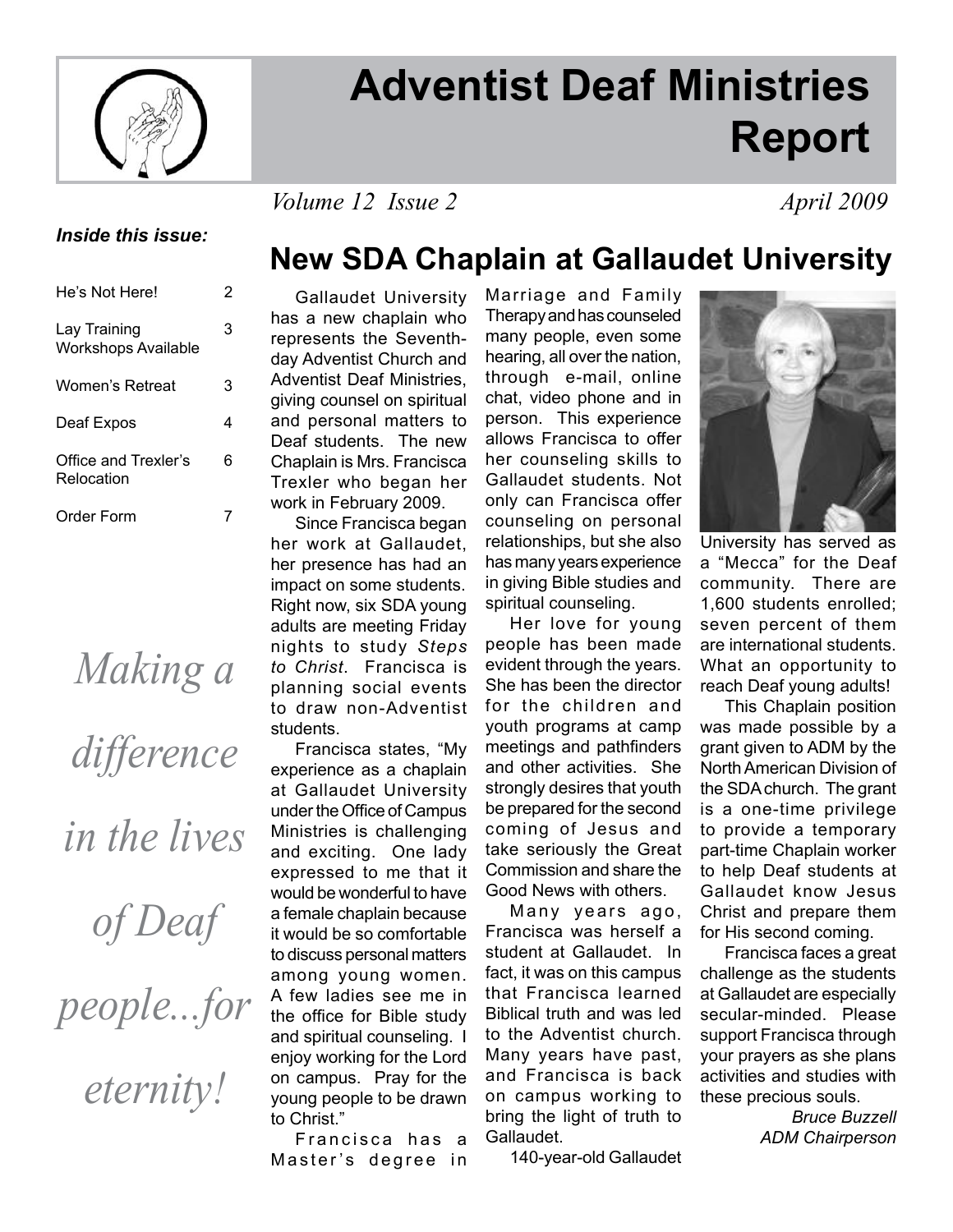

# **Adventist Deaf Ministries Report**

#### *Volume 12 Issue 2 April 2009*

#### *Inside this issue:*

| He's Not Here!                             | 2 |
|--------------------------------------------|---|
| Lay Training<br><b>Workshops Available</b> | 3 |
| Women's Retreat                            | 3 |
| Deaf Expos                                 | 4 |
| Office and Trexler's<br>Relocation         | 6 |
| Order Form                                 |   |

# *Making a*

*difference* 

*in the lives* 

*of Deaf* 

*people...for* 

*eternity!*

## **New SDA Chaplain at Gallaudet University**

 Gallaudet University has a new chaplain who represents the Seventhday Adventist Church and Adventist Deaf Ministries, giving counsel on spiritual and personal matters to Deaf students. The new Chaplain is Mrs. Francisca Trexler who began her work in February 2009.

 Since Francisca began her work at Gallaudet, her presence has had an impact on some students. Right now, six SDA young adults are meeting Friday nights to study *Steps to Christ*. Francisca is planning social events to draw non-Adventist students.

 Francisca states, "My experience as a chaplain at Gallaudet University under the Office of Campus Ministries is challenging and exciting. One lady expressed to me that it would be wonderful to have a female chaplain because it would be so comfortable to discuss personal matters among young women. A few ladies see me in the office for Bible study and spiritual counseling. I enjoy working for the Lord on campus. Pray for the young people to be drawn to Christ."

Francisca has a Master's degree in Marriage and Family Therapy and has counseled many people, even some hearing, all over the nation, through e-mail, online chat, video phone and in person. This experience allows Francisca to offer her counseling skills to Gallaudet students. Not only can Francisca offer counseling on personal relationships, but she also has many years experience in giving Bible studies and spiritual counseling.

 Her love for young people has been made evident through the years. She has been the director for the children and youth programs at camp meetings and pathfinders and other activities. She strongly desires that youth be prepared for the second coming of Jesus and take seriously the Great Commission and share the Good News with others.

Many years ago, Francisca was herself a student at Gallaudet. In fact, it was on this campus that Francisca learned Biblical truth and was led to the Adventist church. Many years have past, and Francisca is back on campus working to bring the light of truth to Gallaudet.

140-year-old Gallaudet



University has served as a "Mecca" for the Deaf community. There are 1,600 students enrolled; seven percent of them are international students. What an opportunity to reach Deaf young adults!

 This Chaplain position was made possible by a grant given to ADM by the North American Division of the SDA church. The grant is a one-time privilege to provide a temporary part-time Chaplain worker to help Deaf students at Gallaudet know Jesus Christ and prepare them for His second coming.

 Francisca faces a great challenge as the students at Gallaudet are especially secular-minded. Please support Francisca through your prayers as she plans activities and studies with these precious souls.

> *Bruce Buzzell ADM Chairperson*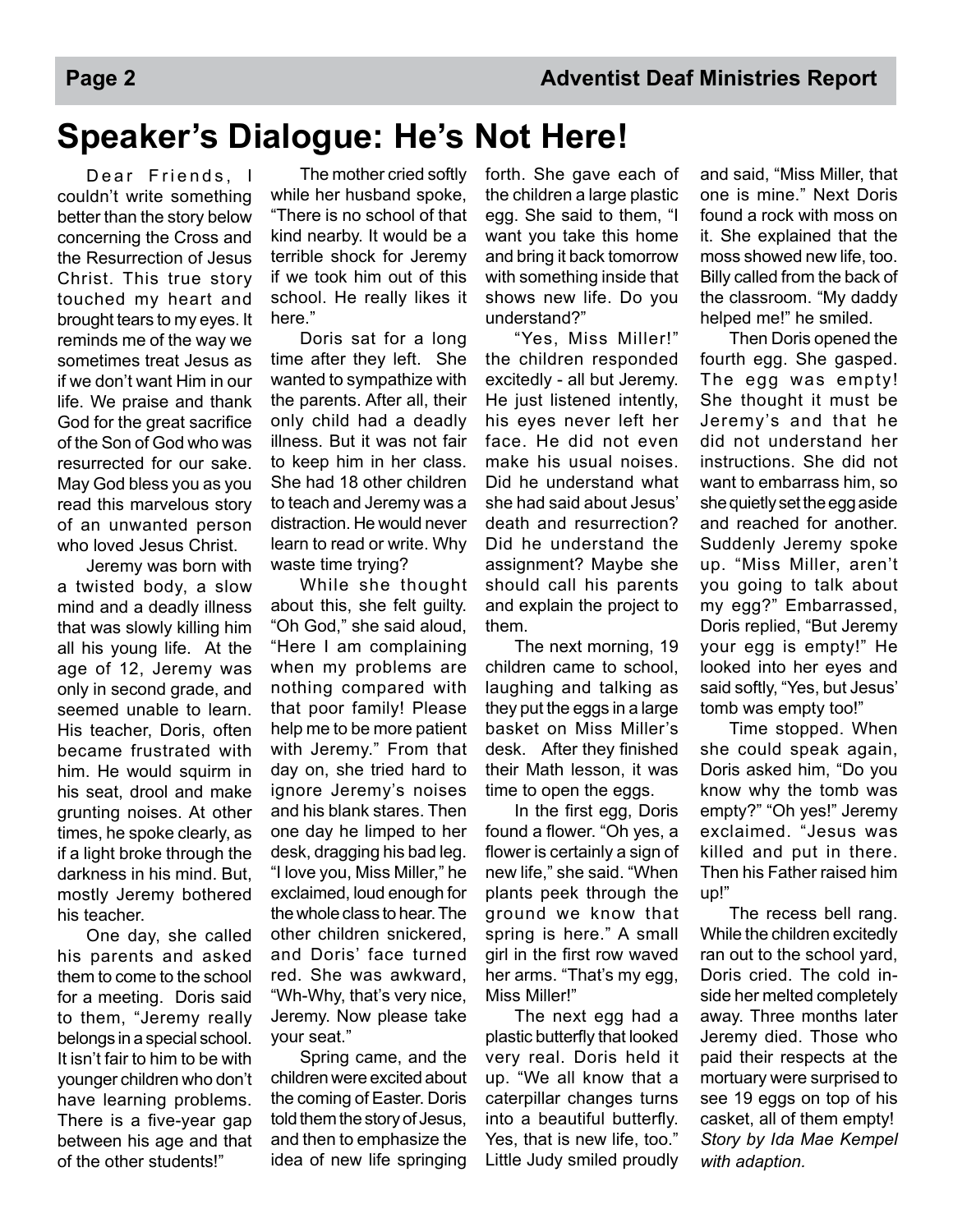# **Speaker's Dialogue: He's Not Here!**

Dear Friends, I couldn't write something better than the story below concerning the Cross and the Resurrection of Jesus Christ. This true story touched my heart and brought tears to my eyes. It reminds me of the way we sometimes treat Jesus as if we don't want Him in our life. We praise and thank God for the great sacrifice of the Son of God who was resurrected for our sake. May God bless you as you read this marvelous story of an unwanted person who loved Jesus Christ.

 Jeremy was born with a twisted body, a slow mind and a deadly illness that was slowly killing him all his young life. At the age of 12, Jeremy was only in second grade, and seemed unable to learn. His teacher, Doris, often became frustrated with him. He would squirm in his seat, drool and make grunting noises. At other times, he spoke clearly, as if a light broke through the darkness in his mind. But, mostly Jeremy bothered his teacher.

 One day, she called his parents and asked them to come to the school for a meeting. Doris said to them, "Jeremy really belongs in a special school. It isn't fair to him to be with younger children who don't have learning problems. There is a five-year gap between his age and that of the other students!"

 The mother cried softly while her husband spoke, "There is no school of that kind nearby. It would be a terrible shock for Jeremy if we took him out of this school. He really likes it here."

 Doris sat for a long time after they left. She wanted to sympathize with the parents. After all, their only child had a deadly illness. But it was not fair to keep him in her class. She had 18 other children to teach and Jeremy was a distraction. He would never learn to read or write. Why waste time trying?

 While she thought about this, she felt guilty. "Oh God," she said aloud, "Here I am complaining when my problems are nothing compared with that poor family! Please help me to be more patient with Jeremy." From that day on, she tried hard to ignore Jeremy's noises and his blank stares. Then one day he limped to her desk, dragging his bad leg. "I love you, Miss Miller," he exclaimed, loud enough for the whole class to hear. The other children snickered, and Doris' face turned red. She was awkward, "Wh-Why, that's very nice, Jeremy. Now please take your seat."

 Spring came, and the children were excited about the coming of Easter. Doris told them the story of Jesus, and then to emphasize the idea of new life springing

forth. She gave each of the children a large plastic egg. She said to them, "I want you take this home and bring it back tomorrow with something inside that shows new life. Do you understand?"

 "Yes, Miss Miller!" the children responded excitedly - all but Jeremy. He just listened intently, his eyes never left her face. He did not even make his usual noises. Did he understand what she had said about Jesus' death and resurrection? Did he understand the assignment? Maybe she should call his parents and explain the project to them.

 The next morning, 19 children came to school, laughing and talking as they put the eggs in a large basket on Miss Miller's desk. After they finished their Math lesson, it was time to open the eggs.

In the first egg, Doris found a flower. "Oh yes, a flower is certainly a sign of new life," she said. "When plants peek through the ground we know that spring is here." A small girl in the first row waved her arms. "That's my egg, Miss Miller!"

 The next egg had a plastic butterfly that looked very real. Doris held it up. "We all know that a caterpillar changes turns into a beautiful butterfly. Yes, that is new life, too." Little Judy smiled proudly

and said, "Miss Miller, that one is mine." Next Doris found a rock with moss on it. She explained that the moss showed new life, too. Billy called from the back of the classroom. "My daddy helped me!" he smiled.

 Then Doris opened the fourth egg. She gasped. The egg was empty! She thought it must be Jeremy's and that he did not understand her instructions. She did not want to embarrass him, so she quietly set the egg aside and reached for another. Suddenly Jeremy spoke up. "Miss Miller, aren't you going to talk about my egg?" Embarrassed, Doris replied, "But Jeremy your egg is empty!" He looked into her eyes and said softly, "Yes, but Jesus' tomb was empty too!"

 Time stopped. When she could speak again, Doris asked him, "Do you know why the tomb was empty?" "Oh yes!" Jeremy exclaimed. "Jesus was killed and put in there. Then his Father raised him up!"

 The recess bell rang. While the children excitedly ran out to the school yard, Doris cried. The cold inside her melted completely away. Three months later Jeremy died. Those who paid their respects at the mortuary were surprised to see 19 eggs on top of his casket, all of them empty! *Story by Ida Mae Kempel with adaption.*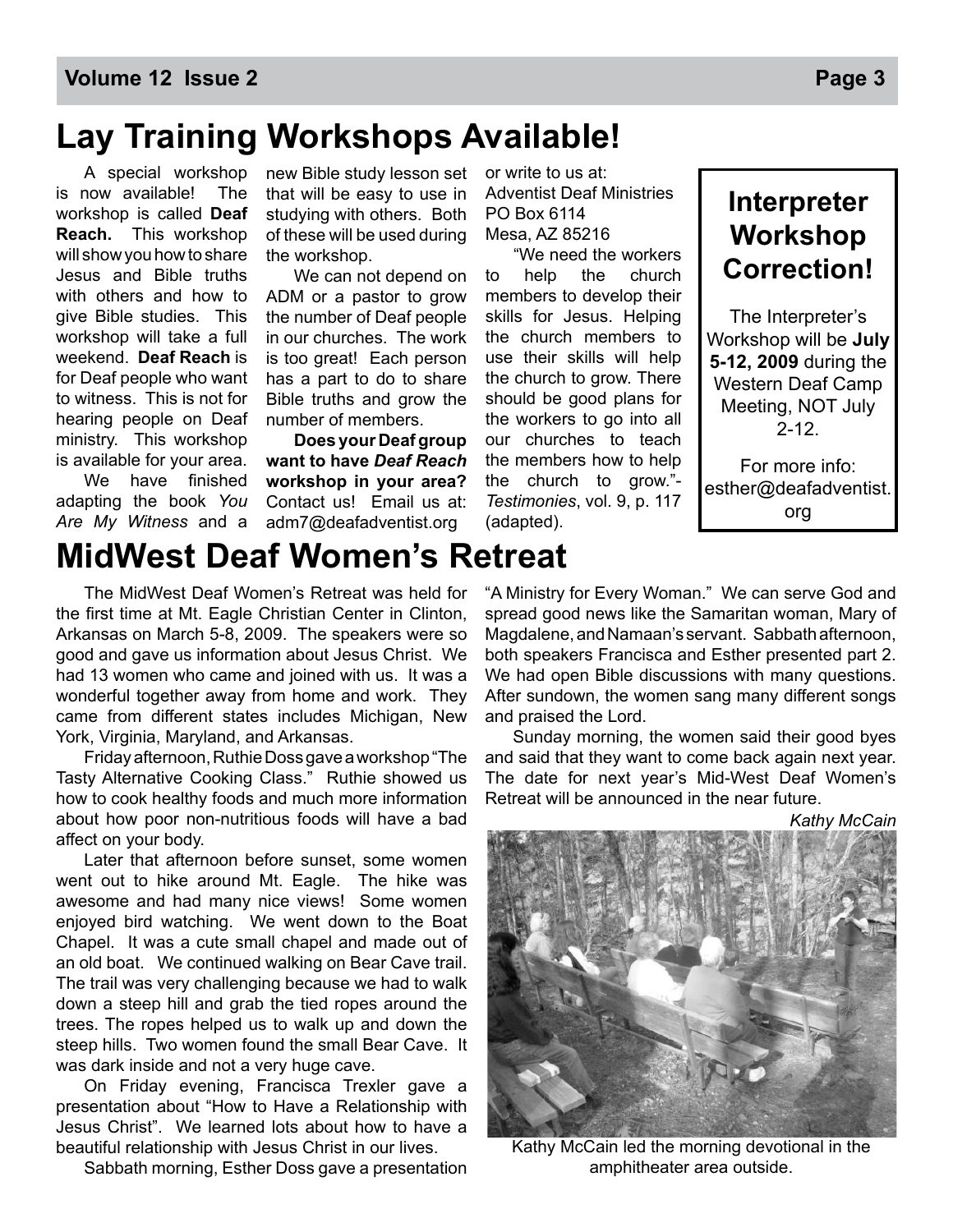# **Lay Training Workshops Available!**

 A special workshop is now available! The workshop is called **Deaf Reach.** This workshop will show you how to share Jesus and Bible truths with others and how to give Bible studies. This workshop will take a full weekend. **Deaf Reach** is for Deaf people who want to witness. This is not for hearing people on Deaf ministry. This workshop is available for your area.

We have finished adapting the book *You Are My Witness* and a

new Bible study lesson set that will be easy to use in studying with others. Both of these will be used during the workshop.

 We can not depend on ADM or a pastor to grow the number of Deaf people in our churches. The work is too great! Each person has a part to do to share Bible truths and grow the number of members.

**Does your Deaf group want to have** *Deaf Reach*  **workshop in your area?** Contact us! Email us at: adm7@deafadventist.org

or write to us at: Adventist Deaf Ministries PO Box 6114 Mesa, AZ 85216

 "We need the workers to help the church members to develop their skills for Jesus. Helping the church members to use their skills will help the church to grow. There should be good plans for the workers to go into all our churches to teach the members how to help the church to grow."- *Testimonies*, vol. 9, p. 117 (adapted).

### **Interpreter Workshop Correction!**

The Interpreter's Workshop will be **July 5-12, 2009** during the Western Deaf Camp Meeting, NOT July  $2 - 12$ 

For more info: esther@deafadventist. org

## **MidWest Deaf Women's Retreat**

 The MidWest Deaf Women's Retreat was held for the first time at Mt. Eagle Christian Center in Clinton, Arkansas on March 5-8, 2009. The speakers were so good and gave us information about Jesus Christ. We had 13 women who came and joined with us. It was a wonderful together away from home and work. They came from different states includes Michigan, New York, Virginia, Maryland, and Arkansas.

 Friday afternoon, Ruthie Doss gave a workshop "The Tasty Alternative Cooking Class." Ruthie showed us how to cook healthy foods and much more information about how poor non-nutritious foods will have a bad affect on your body.

 Later that afternoon before sunset, some women went out to hike around Mt. Eagle. The hike was awesome and had many nice views! Some women enjoyed bird watching. We went down to the Boat Chapel. It was a cute small chapel and made out of an old boat. We continued walking on Bear Cave trail. The trail was very challenging because we had to walk down a steep hill and grab the tied ropes around the trees. The ropes helped us to walk up and down the steep hills. Two women found the small Bear Cave. It was dark inside and not a very huge cave.

 On Friday evening, Francisca Trexler gave a presentation about "How to Have a Relationship with Jesus Christ". We learned lots about how to have a beautiful relationship with Jesus Christ in our lives.

Sabbath morning, Esther Doss gave a presentation

"A Ministry for Every Woman." We can serve God and spread good news like the Samaritan woman, Mary of Magdalene, and Namaan's servant. Sabbath afternoon, both speakers Francisca and Esther presented part 2. We had open Bible discussions with many questions. After sundown, the women sang many different songs and praised the Lord.

 Sunday morning, the women said their good byes and said that they want to come back again next year. The date for next year's Mid-West Deaf Women's Retreat will be announced in the near future.

*Kathy McCain*

Kathy McCain led the morning devotional in the amphitheater area outside.



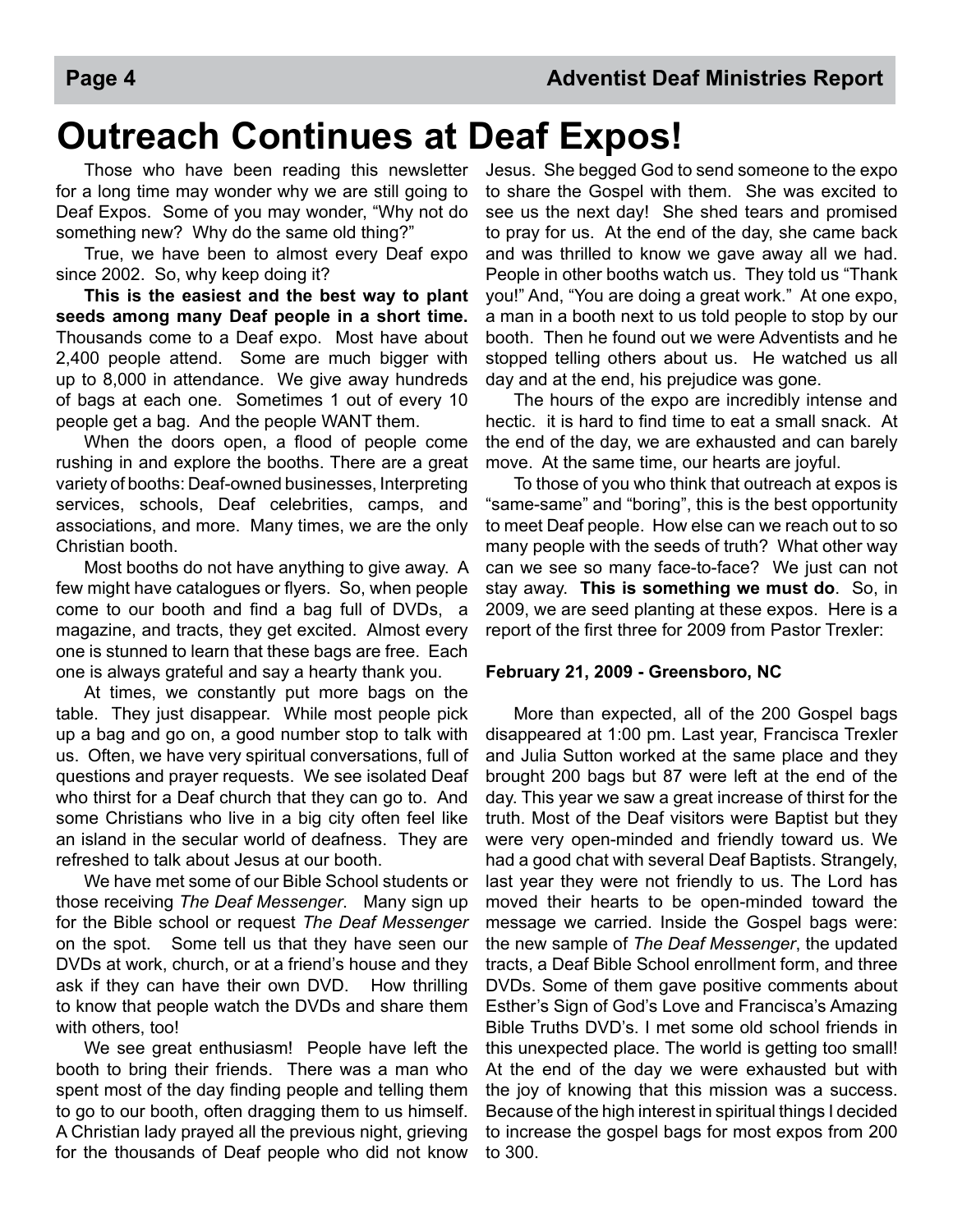# **Outreach Continues at Deaf Expos!**

 Those who have been reading this newsletter for a long time may wonder why we are still going to Deaf Expos. Some of you may wonder, "Why not do something new? Why do the same old thing?"

 True, we have been to almost every Deaf expo since 2002. So, why keep doing it?

**This is the easiest and the best way to plant seeds among many Deaf people in a short time.**  Thousands come to a Deaf expo. Most have about 2,400 people attend. Some are much bigger with up to 8,000 in attendance. We give away hundreds of bags at each one. Sometimes 1 out of every 10 people get a bag. And the people WANT them.

When the doors open, a flood of people come rushing in and explore the booths. There are a great variety of booths: Deaf-owned businesses, Interpreting services, schools, Deaf celebrities, camps, and associations, and more. Many times, we are the only Christian booth.

 Most booths do not have anything to give away. A few might have catalogues or flyers. So, when people come to our booth and find a bag full of DVDs, a magazine, and tracts, they get excited. Almost every one is stunned to learn that these bags are free. Each one is always grateful and say a hearty thank you.

 At times, we constantly put more bags on the table. They just disappear. While most people pick up a bag and go on, a good number stop to talk with us. Often, we have very spiritual conversations, full of questions and prayer requests. We see isolated Deaf who thirst for a Deaf church that they can go to. And some Christians who live in a big city often feel like an island in the secular world of deafness. They are refreshed to talk about Jesus at our booth.

 We have met some of our Bible School students or those receiving *The Deaf Messenger*. Many sign up for the Bible school or request *The Deaf Messenger* on the spot. Some tell us that they have seen our DVDs at work, church, or at a friend's house and they ask if they can have their own DVD. How thrilling to know that people watch the DVDs and share them with others, too!

 We see great enthusiasm! People have left the booth to bring their friends. There was a man who spent most of the day finding people and telling them to go to our booth, often dragging them to us himself. A Christian lady prayed all the previous night, grieving for the thousands of Deaf people who did not know

Jesus. She begged God to send someone to the expo to share the Gospel with them. She was excited to see us the next day! She shed tears and promised to pray for us. At the end of the day, she came back and was thrilled to know we gave away all we had. People in other booths watch us. They told us "Thank you!" And, "You are doing a great work." At one expo, a man in a booth next to us told people to stop by our booth. Then he found out we were Adventists and he stopped telling others about us. He watched us all day and at the end, his prejudice was gone.

 The hours of the expo are incredibly intense and hectic. it is hard to find time to eat a small snack. At the end of the day, we are exhausted and can barely move. At the same time, our hearts are joyful.

 To those of you who think that outreach at expos is "same-same" and "boring", this is the best opportunity to meet Deaf people. How else can we reach out to so many people with the seeds of truth? What other way can we see so many face-to-face? We just can not stay away. **This is something we must do**. So, in 2009, we are seed planting at these expos. Here is a report of the first three for 2009 from Pastor Trexler:

#### **February 21, 2009 - Greensboro, NC**

 More than expected, all of the 200 Gospel bags disappeared at 1:00 pm. Last year, Francisca Trexler and Julia Sutton worked at the same place and they brought 200 bags but 87 were left at the end of the day. This year we saw a great increase of thirst for the truth. Most of the Deaf visitors were Baptist but they were very open-minded and friendly toward us. We had a good chat with several Deaf Baptists. Strangely, last year they were not friendly to us. The Lord has moved their hearts to be open-minded toward the message we carried. Inside the Gospel bags were: the new sample of *The Deaf Messenger*, the updated tracts, a Deaf Bible School enrollment form, and three DVDs. Some of them gave positive comments about Esther's Sign of God's Love and Francisca's Amazing Bible Truths DVD's. I met some old school friends in this unexpected place. The world is getting too small! At the end of the day we were exhausted but with the joy of knowing that this mission was a success. Because of the high interest in spiritual things I decided to increase the gospel bags for most expos from 200 to 300.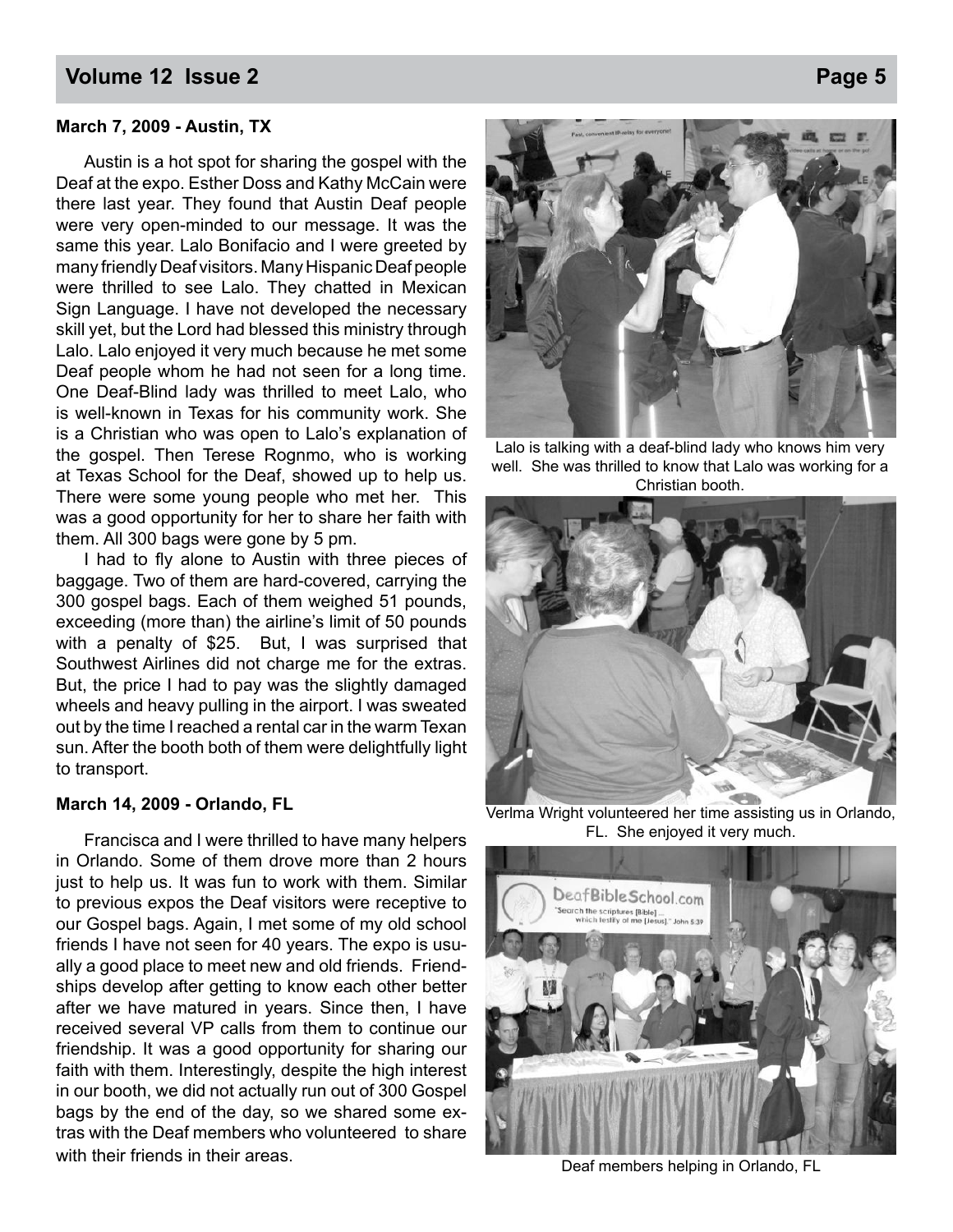#### **Volume 12 Issue 2 Page 5**

#### **March 7, 2009 - Austin, TX**

 Austin is a hot spot for sharing the gospel with the Deaf at the expo. Esther Doss and Kathy McCain were there last year. They found that Austin Deaf people were very open-minded to our message. It was the same this year. Lalo Bonifacio and I were greeted by many friendly Deaf visitors. Many Hispanic Deaf people were thrilled to see Lalo. They chatted in Mexican Sign Language. I have not developed the necessary skill yet, but the Lord had blessed this ministry through Lalo. Lalo enjoyed it very much because he met some Deaf people whom he had not seen for a long time. One Deaf-Blind lady was thrilled to meet Lalo, who is well-known in Texas for his community work. She is a Christian who was open to Lalo's explanation of the gospel. Then Terese Rognmo, who is working at Texas School for the Deaf, showed up to help us. There were some young people who met her. This was a good opportunity for her to share her faith with them. All 300 bags were gone by 5 pm.

I had to fly alone to Austin with three pieces of baggage. Two of them are hard-covered, carrying the 300 gospel bags. Each of them weighed 51 pounds, exceeding (more than) the airline's limit of 50 pounds with a penalty of \$25. But, I was surprised that Southwest Airlines did not charge me for the extras. But, the price I had to pay was the slightly damaged wheels and heavy pulling in the airport. I was sweated out by the time I reached a rental car in the warm Texan sun. After the booth both of them were delightfully light to transport.

#### **March 14, 2009 - Orlando, FL**

 Francisca and I were thrilled to have many helpers in Orlando. Some of them drove more than 2 hours just to help us. It was fun to work with them. Similar to previous expos the Deaf visitors were receptive to our Gospel bags. Again, I met some of my old school friends I have not seen for 40 years. The expo is usually a good place to meet new and old friends. Friendships develop after getting to know each other better after we have matured in years. Since then, I have received several VP calls from them to continue our friendship. It was a good opportunity for sharing our faith with them. Interestingly, despite the high interest in our booth, we did not actually run out of 300 Gospel bags by the end of the day, so we shared some extras with the Deaf members who volunteered to share with their friends in their areas.



Lalo is talking with a deaf-blind lady who knows him very well. She was thrilled to know that Lalo was working for a Christian booth.



Verlma Wright volunteered her time assisting us in Orlando, FL. She enjoyed it very much.



Deaf members helping in Orlando, FL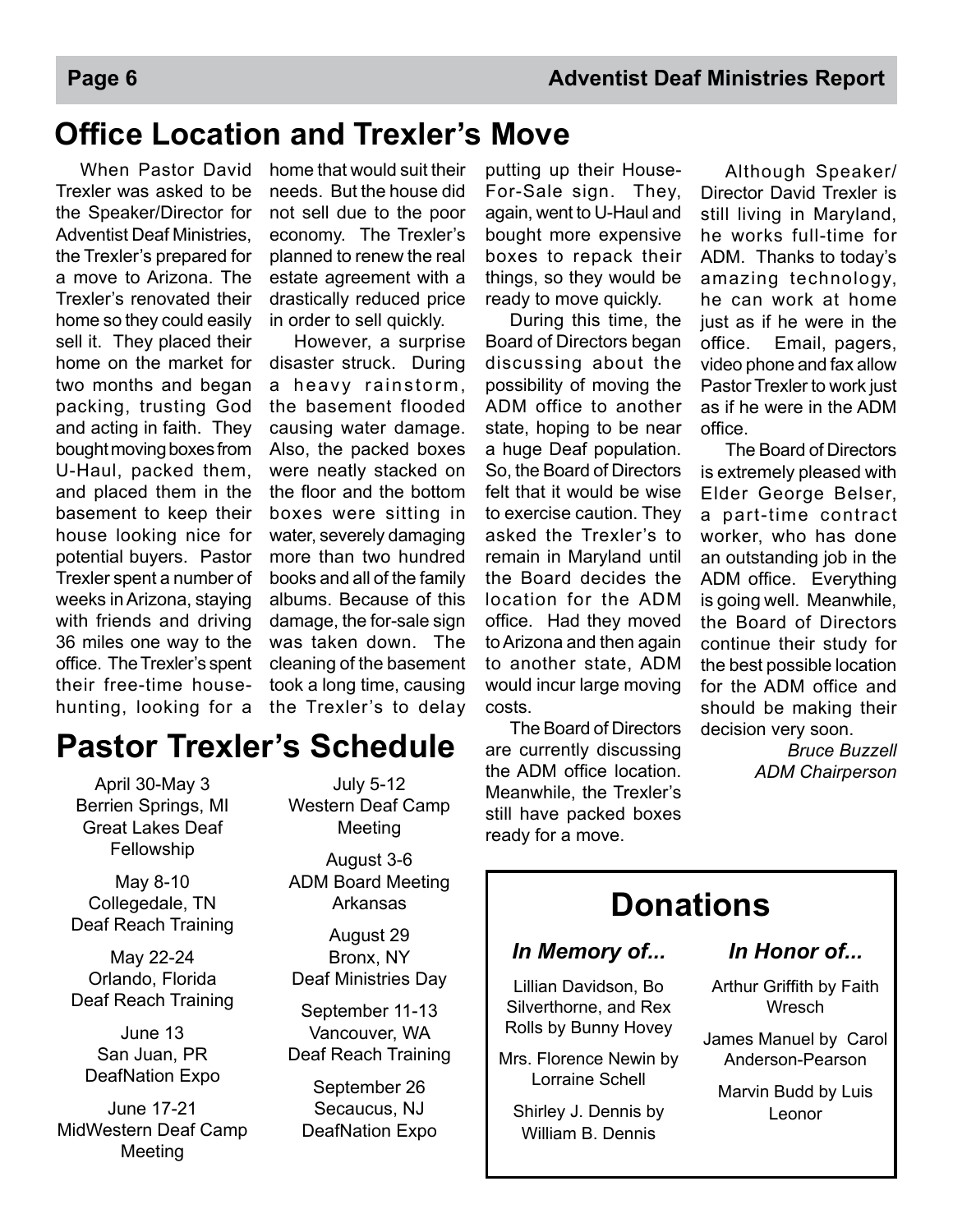# **Office Location and Trexler's Move**

 When Pastor David Trexler was asked to be the Speaker/Director for Adventist Deaf Ministries, the Trexler's prepared for a move to Arizona. The Trexler's renovated their home so they could easily sell it. They placed their home on the market for two months and began packing, trusting God and acting in faith. They bought moving boxes from U-Haul, packed them, and placed them in the basement to keep their house looking nice for potential buyers. Pastor Trexler spent a number of weeks in Arizona, staying with friends and driving 36 miles one way to the office. The Trexler's spent their free-time househunting, looking for a

home that would suit their needs. But the house did not sell due to the poor economy. The Trexler's planned to renew the real estate agreement with a drastically reduced price in order to sell quickly.

 However, a surprise disaster struck. During a heavy rainstorm, the basement flooded causing water damage. Also, the packed boxes were neatly stacked on the floor and the bottom boxes were sitting in water, severely damaging more than two hundred books and all of the family albums. Because of this damage, the for-sale sign was taken down. The cleaning of the basement took a long time, causing the Trexler's to delay

putting up their House-For-Sale sign. They, again, went to U-Haul and bought more expensive boxes to repack their things, so they would be ready to move quickly.

 During this time, the Board of Directors began discussing about the possibility of moving the ADM office to another state, hoping to be near a huge Deaf population. So, the Board of Directors felt that it would be wise to exercise caution. They asked the Trexler's to remain in Maryland until the Board decides the location for the ADM office. Had they moved to Arizona and then again to another state, ADM would incur large moving costs.

 The Board of Directors are currently discussing the ADM office location. Meanwhile, the Trexler's still have packed boxes ready for a move.

 Although Speaker/ Director David Trexler is still living in Maryland, he works full-time for ADM. Thanks to today's amazing technology, he can work at home just as if he were in the office. Email, pagers, video phone and fax allow Pastor Trexler to work just as if he were in the ADM office.

 The Board of Directors is extremely pleased with Elder George Belser, a part-time contract worker, who has done an outstanding job in the ADM office. Everything is going well. Meanwhile, the Board of Directors continue their study for the best possible location for the ADM office and should be making their decision very soon.

> *Bruce Buzzell ADM Chairperson*

### **Pastor Trexler's Schedule**

April 30-May 3 Berrien Springs, MI Great Lakes Deaf Fellowship

May 8-10 Collegedale, TN Deaf Reach Training

May 22-24 Orlando, Florida Deaf Reach Training

June 13 San Juan, PR DeafNation Expo

June 17-21 MidWestern Deaf Camp Meeting

July 5-12 Western Deaf Camp Meeting

August 3-6 ADM Board Meeting Arkansas

August 29 Bronx, NY Deaf Ministries Day

September 11-13 Vancouver, WA Deaf Reach Training

September 26 Secaucus, NJ DeafNation Expo

# **Donations**

#### *In Memory of...*

Lillian Davidson, Bo Silverthorne, and Rex Rolls by Bunny Hovey

Mrs. Florence Newin by Lorraine Schell

Shirley J. Dennis by William B. Dennis

#### *In Honor of...*

Arthur Griffith by Faith Wresch

James Manuel by Carol Anderson-Pearson

Marvin Budd by Luis Leonor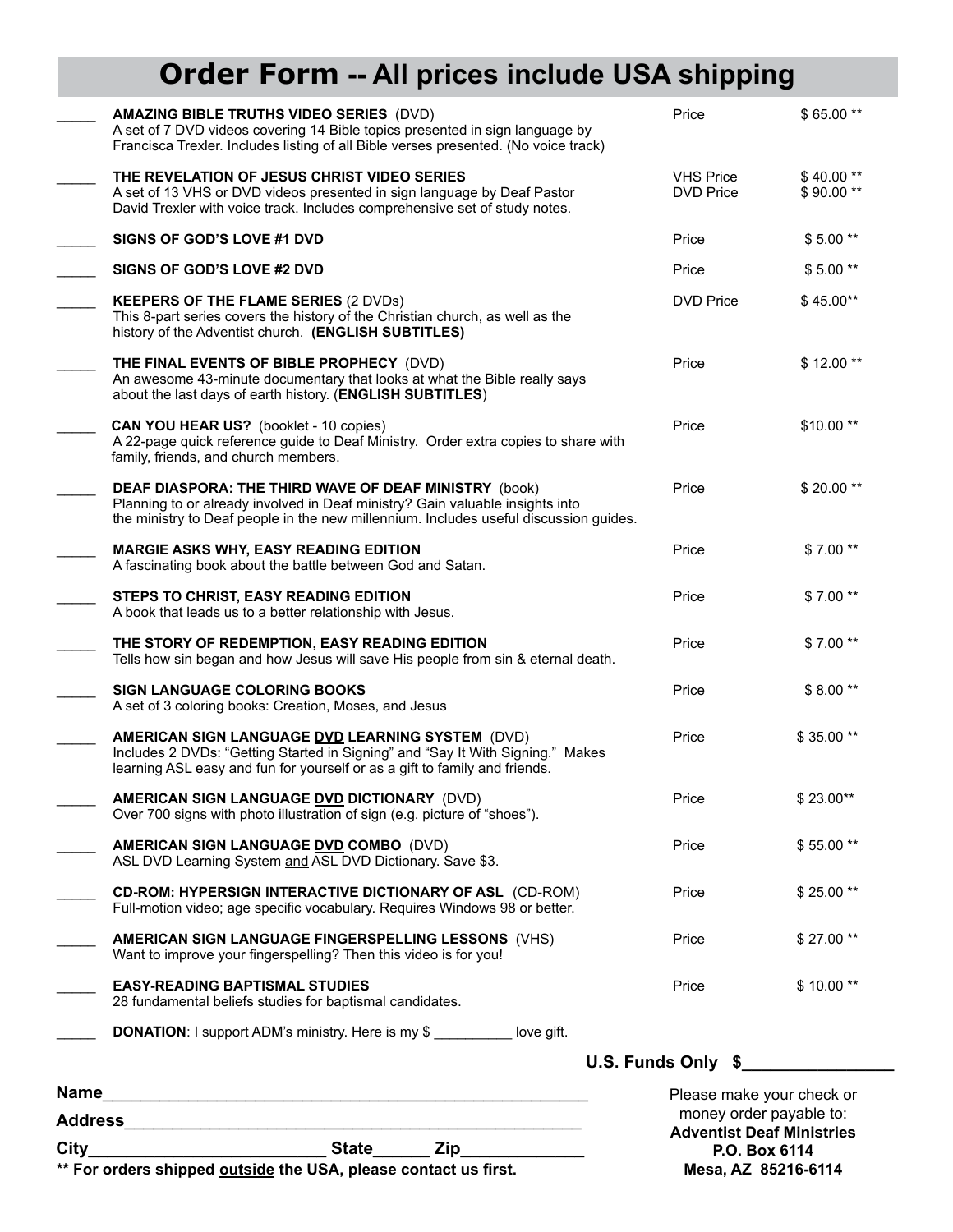# **Order Form -- All prices include USA shipping**

| $\text{City}_{-}$ | <b>State</b>                                                                                                                                                                                                                           | money order payable to:<br><b>Adventist Deaf Ministries</b><br>P.O. Box 6114 |                         |
|-------------------|----------------------------------------------------------------------------------------------------------------------------------------------------------------------------------------------------------------------------------------|------------------------------------------------------------------------------|-------------------------|
| Name              |                                                                                                                                                                                                                                        | U.S. Funds Only \$<br>Please make your check or                              |                         |
|                   | <b>DONATION:</b> I support ADM's ministry. Here is my \$ __________ love gift.                                                                                                                                                         |                                                                              |                         |
|                   | <b>EASY-READING BAPTISMAL STUDIES</b><br>28 fundamental beliefs studies for baptismal candidates.                                                                                                                                      | Price                                                                        | \$10.00**               |
|                   | AMERICAN SIGN LANGUAGE FINGERSPELLING LESSONS (VHS)<br>Want to improve your fingerspelling? Then this video is for you!                                                                                                                | Price                                                                        | \$27.00**               |
|                   | <b>CD-ROM: HYPERSIGN INTERACTIVE DICTIONARY OF ASL (CD-ROM)</b><br>Full-motion video; age specific vocabulary. Requires Windows 98 or better.                                                                                          | Price                                                                        | \$25.00**               |
|                   | AMERICAN SIGN LANGUAGE DVD COMBO (DVD)<br>ASL DVD Learning System and ASL DVD Dictionary. Save \$3.                                                                                                                                    | Price                                                                        | \$55.00**               |
|                   | AMERICAN SIGN LANGUAGE DVD DICTIONARY (DVD)<br>Over 700 signs with photo illustration of sign (e.g. picture of "shoes").                                                                                                               | Price                                                                        | \$23.00**               |
|                   | AMERICAN SIGN LANGUAGE DVD LEARNING SYSTEM (DVD)<br>Includes 2 DVDs: "Getting Started in Signing" and "Say It With Signing." Makes<br>learning ASL easy and fun for yourself or as a gift to family and friends.                       | Price                                                                        | \$35.00**               |
|                   | <b>SIGN LANGUAGE COLORING BOOKS</b><br>A set of 3 coloring books: Creation, Moses, and Jesus                                                                                                                                           | Price                                                                        | \$8.00**                |
|                   | THE STORY OF REDEMPTION, EASY READING EDITION<br>Tells how sin began and how Jesus will save His people from sin & eternal death.                                                                                                      | Price                                                                        | $$7.00**$               |
|                   | STEPS TO CHRIST, EASY READING EDITION<br>A book that leads us to a better relationship with Jesus.                                                                                                                                     | Price                                                                        | $$7.00**$               |
|                   | <b>MARGIE ASKS WHY, EASY READING EDITION</b><br>A fascinating book about the battle between God and Satan.                                                                                                                             | Price                                                                        | $$7.00**$               |
|                   | <b>DEAF DIASPORA: THE THIRD WAVE OF DEAF MINISTRY (book)</b><br>Planning to or already involved in Deaf ministry? Gain valuable insights into<br>the ministry to Deaf people in the new millennium. Includes useful discussion guides. | Price                                                                        | \$20.00**               |
|                   | CAN YOU HEAR US? (booklet - 10 copies)<br>A 22-page quick reference guide to Deaf Ministry. Order extra copies to share with<br>family, friends, and church members.                                                                   | Price                                                                        | $$10.00**$              |
|                   | THE FINAL EVENTS OF BIBLE PROPHECY (DVD)<br>An awesome 43-minute documentary that looks at what the Bible really says<br>about the last days of earth history. (ENGLISH SUBTITLES)                                                     | Price                                                                        | $$12.00**$              |
|                   | <b>KEEPERS OF THE FLAME SERIES (2 DVDs)</b><br>This 8-part series covers the history of the Christian church, as well as the<br>history of the Adventist church. (ENGLISH SUBTITLES)                                                   | <b>DVD Price</b>                                                             | $$45.00**$              |
|                   | SIGNS OF GOD'S LOVE #2 DVD                                                                                                                                                                                                             | Price                                                                        | $$5.00**$               |
|                   | <b>SIGNS OF GOD'S LOVE #1 DVD</b>                                                                                                                                                                                                      | Price                                                                        | $$5.00**$               |
|                   | THE REVELATION OF JESUS CHRIST VIDEO SERIES<br>A set of 13 VHS or DVD videos presented in sign language by Deaf Pastor<br>David Trexler with voice track. Includes comprehensive set of study notes.                                   | <b>VHS Price</b><br><b>DVD Price</b>                                         | $$40.00**$<br>\$90.00** |
|                   | <b>AMAZING BIBLE TRUTHS VIDEO SERIES (DVD)</b><br>A set of 7 DVD videos covering 14 Bible topics presented in sign language by<br>Francisca Trexler. Includes listing of all Bible verses presented. (No voice track)                  | Price                                                                        | $$65.00**$              |

\*\* For orders shipped **outside** the USA, please contact us first.

# **Mesa, AZ 85216-6114**